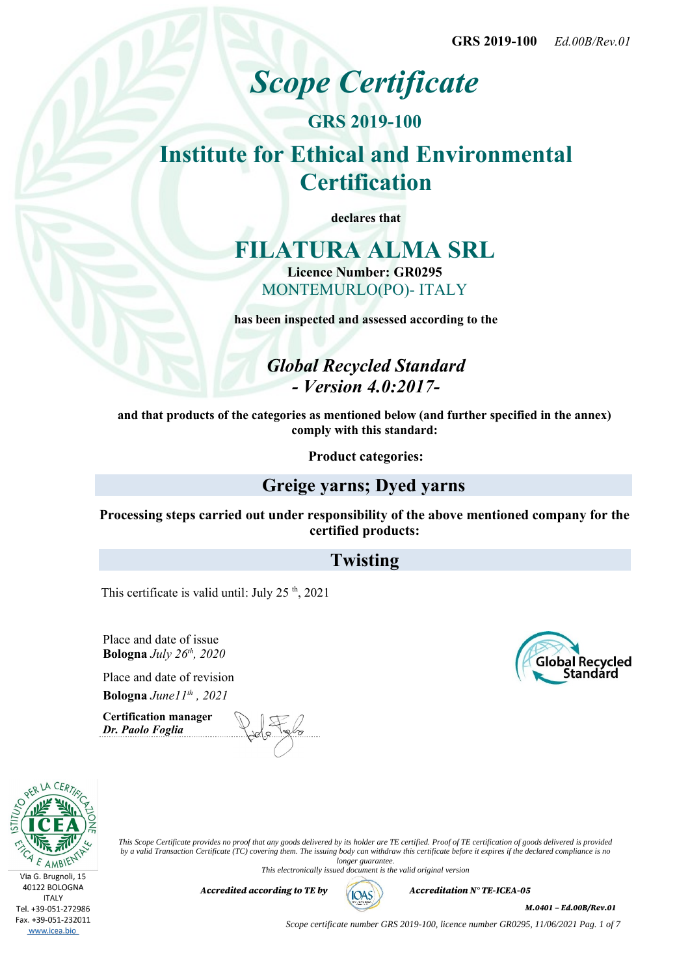# *Scope Certificate*

# **GRS 2019-100 Institute for Ethical and Environmental Certification**

**declares that**

# **FILATURA ALMA SRL**

**Licence Number: GR0295** MONTEMURLO(PO)- ITALY

**has been inspected and assessed according to the**

*Global Recycled Standard - Version 4.0:2017-*

**and that products of the categories as mentioned below (and further specified in the annex) comply with this standard:**

**Product categories:**

## **Greige yarns; Dyed yarns**

**Processing steps carried out under responsibility of the above mentioned company for the certified products:**

# **Twisting**

This certificate is valid until: July  $25<sup>th</sup>$ , 2021

Place and date of issue **Bologna** *July 26th, 2020*

Place and date of revision **Bologna** *June11th , 2021*

**Certification manager** *Dr. Paolo Foglia*





*This Scope Certificate provides no proof that any goods delivered by its holder are TE certified. Proof of TE certification of goods delivered is provided by a valid Transaction Certificate (TC) covering them. The issuing body can withdraw this certificate before it expires if the declared compliance is no longer guarantee.*

*This electronically issued document is the valid original version*

*Accredited according to TE by*  $(AOS)$  *Accreditation N° TE-ICEA-05* 



*M.0401 – Ed.00B/Rev.01*

*Scope certificate number GRS 2019-100, licence number GR0295, 11/06/2021 Pag. 1 of 7*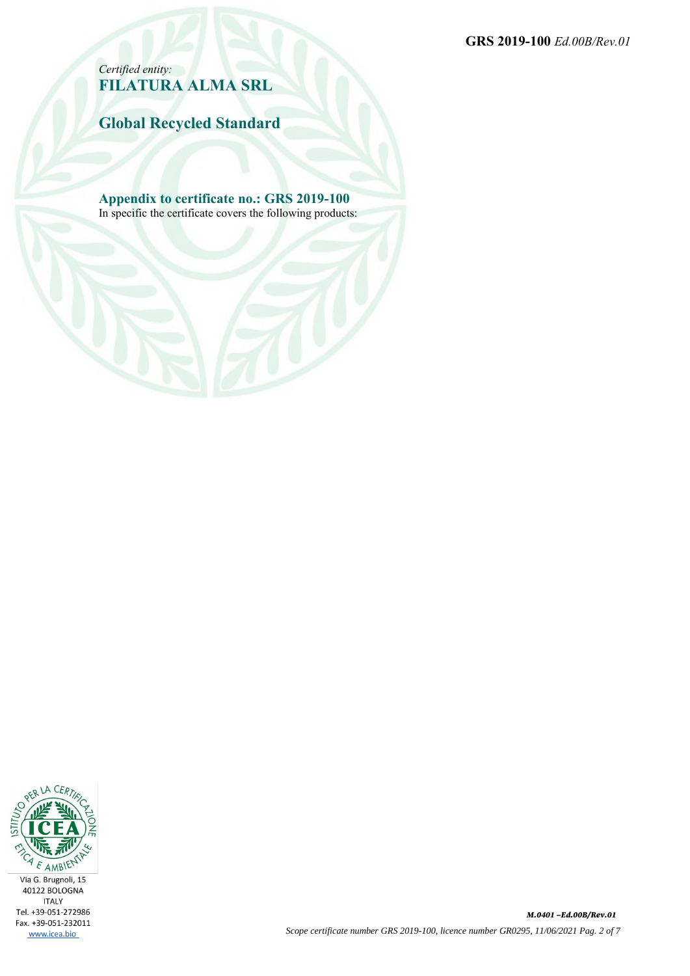**GRS 2019-100** *Ed.00B/Rev.01*

*Certified entity:* **FILATURA ALMA SRL**

**Global Recycled Standard**

**Appendix to certificate no.: GRS 2019-100** In specific the certificate covers the following products:

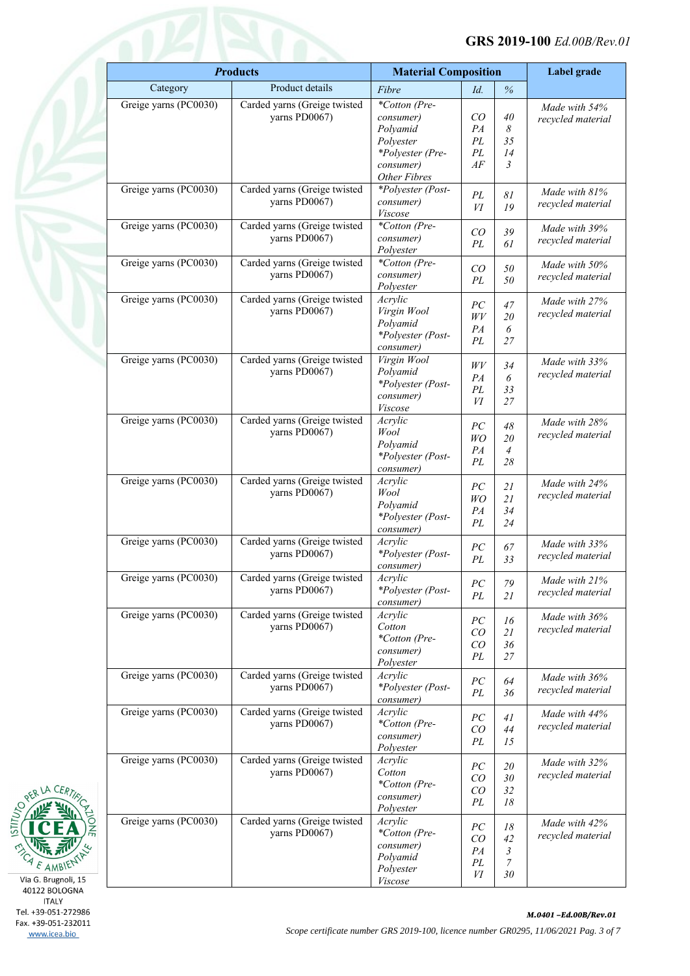#### **GRS 2019-100** *Ed.00B/Rev.01*

|                       | <b>Products</b><br><b>Material Composition</b> |                            | Label grade |                |                                    |
|-----------------------|------------------------------------------------|----------------------------|-------------|----------------|------------------------------------|
| Category              | Product details                                | Fibre                      | Id.         | $\%$           |                                    |
| Greige yarns (PC0030) | Carded yarns (Greige twisted                   | *Cotton (Pre-              |             |                | Made with 54%                      |
|                       | yarns PD0067)                                  | consumer)                  | CO          | 40             | recycled material                  |
|                       |                                                | Polyamid                   | PA          | 8              |                                    |
|                       |                                                | Polyester                  | PL          | 35             |                                    |
|                       |                                                | *Polyester (Pre-           | PL          | 14             |                                    |
|                       |                                                | consumer)<br>Other Fibres  | AF          | 3              |                                    |
| Greige yarns (PC0030) | Carded yarns (Greige twisted                   | *Polyester (Post-          |             |                | Made with 81%                      |
|                       | yarns PD0067)                                  | consumer)                  | PL          | 81             | recycled material                  |
|                       |                                                | Viscose                    | VI          | 19             |                                    |
| Greige yarns (PC0030) | Carded yarns (Greige twisted                   | *Cotton (Pre-              | CO          | 39             | Made with 39%                      |
|                       | yarns PD0067)                                  | consumer)                  | PL          | 61             | recycled material                  |
|                       |                                                | Polyester                  |             |                |                                    |
| Greige yarns (PC0030) | Carded yarns (Greige twisted<br>yarns PD0067)  | *Cotton (Pre-<br>consumer) | CO          | 50             | Made with 50%                      |
|                       |                                                | Polyester                  | PL          | 50             | recycled material                  |
| Greige yarns (PC0030) | Carded yarns (Greige twisted                   | Acrylic                    |             |                | Made with 27%                      |
|                       | yarns PD0067)                                  | Virgin Wool                | PC<br>WV    | 47<br>20       | recycled material                  |
|                       |                                                | Polyamid                   | PA          | 6              |                                    |
|                       |                                                | *Polyester (Post-          | PL          | 27             |                                    |
|                       |                                                | consumer)                  |             |                |                                    |
| Greige yarns (PC0030) | Carded yarns (Greige twisted<br>yarns PD0067)  | Virgin Wool<br>Polyamid    | W V         | 34             | Made with 33%                      |
|                       |                                                | *Polyester (Post-          | PA          | 6              | recycled material                  |
|                       |                                                | consumer)                  | PL          | 33             |                                    |
|                       |                                                | Viscose                    | И           | 27             |                                    |
| Greige yarns (PC0030) | Carded yarns (Greige twisted                   | Acrylic                    | PC          | 48             | Made with 28%                      |
|                       | yarns PD0067)                                  | Wool                       | WO          | 20             | recycled material                  |
|                       |                                                | Polyamid                   | PA          | $\overline{4}$ |                                    |
|                       |                                                | *Polyester (Post-          | PL          | 28             |                                    |
| Greige yarns (PC0030) | Carded yarns (Greige twisted                   | consumer)<br>Acrylic       |             |                |                                    |
|                       | yarns PD0067)                                  | Wool                       | PC          | 21             | Made with 24%                      |
|                       |                                                | Polyamid                   | WO          | 21             | recycled material                  |
|                       |                                                | *Polyester (Post-          | PA<br>PL    | 34<br>24       |                                    |
|                       |                                                | consumer)                  |             |                |                                    |
| Greige yarns (PC0030) | Carded yarns (Greige twisted                   | Acrylic                    | PC          | 67             | Made with 33%                      |
|                       | yarns PD0067)                                  | *Polyester (Post-          | PL          | 33             | recycled material                  |
| Greige yarns (PC0030) | Carded yarns (Greige twisted                   | consumer)<br>Acrylic       |             |                |                                    |
|                       | yarns PD0067)                                  | *Polyester (Post-          | ${\cal PC}$ | 79             | Made with 21%<br>recycled material |
|                       |                                                | consumer)                  | PL          | 21             |                                    |
| Greige yarns (PC0030) | Carded yarns (Greige twisted                   | Acrylic                    | PC          | 16             | Made with 36%                      |
|                       | yarns PD0067)                                  | Cotton                     | CO          | 21             | recycled material                  |
|                       |                                                | *Cotton (Pre-              | ${\cal CO}$ | 36             |                                    |
|                       |                                                | consumer)<br>Polyester     | PL          | 27             |                                    |
| Greige yarns (PC0030) | Carded yarns (Greige twisted                   | Acrylic                    |             |                | Made with 36%                      |
|                       | yarns PD0067)                                  | *Polyester (Post-          | PC          | 64             | recycled material                  |
|                       |                                                | consumer)                  | PL          | 36             |                                    |
| Greige yarns (PC0030) | Carded yarns (Greige twisted                   | Acrylic                    | PC          | 41             | Made with 44%                      |
|                       | yarns PD0067)                                  | *Cotton (Pre-              | CO          | 44             | recycled material                  |
|                       |                                                | consumer)                  | PL          | 15             |                                    |
| Greige yarns (PC0030) | Carded yarns (Greige twisted                   | Polyester<br>Acrylic       |             |                |                                    |
|                       | yarns PD0067)                                  | Cotton                     | PC          | 20             | Made with 32%<br>recycled material |
|                       |                                                | *Cotton (Pre-              | CO          | 30             |                                    |
|                       |                                                | consumer)                  | CO<br>PL    | 32<br>18       |                                    |
|                       |                                                | Polyester                  |             |                |                                    |
| Greige yarns (PC0030) | Carded yarns (Greige twisted                   | Acrylic                    | PC          | 18             | Made with 42%                      |
|                       | yarns PD0067)                                  | *Cotton (Pre-<br>consumer) | ${\cal CO}$ | 42             | recycled material                  |
|                       |                                                | Polyamid                   | PA          | 3              |                                    |
|                       |                                                | Polyester                  | PL          | 7              |                                    |
|                       |                                                | <i>Viscose</i>             | VI          | 30             |                                    |



CER

**ITALY** Tel. +39-051-272986 Fax. +39-051-232011 www.icea.bio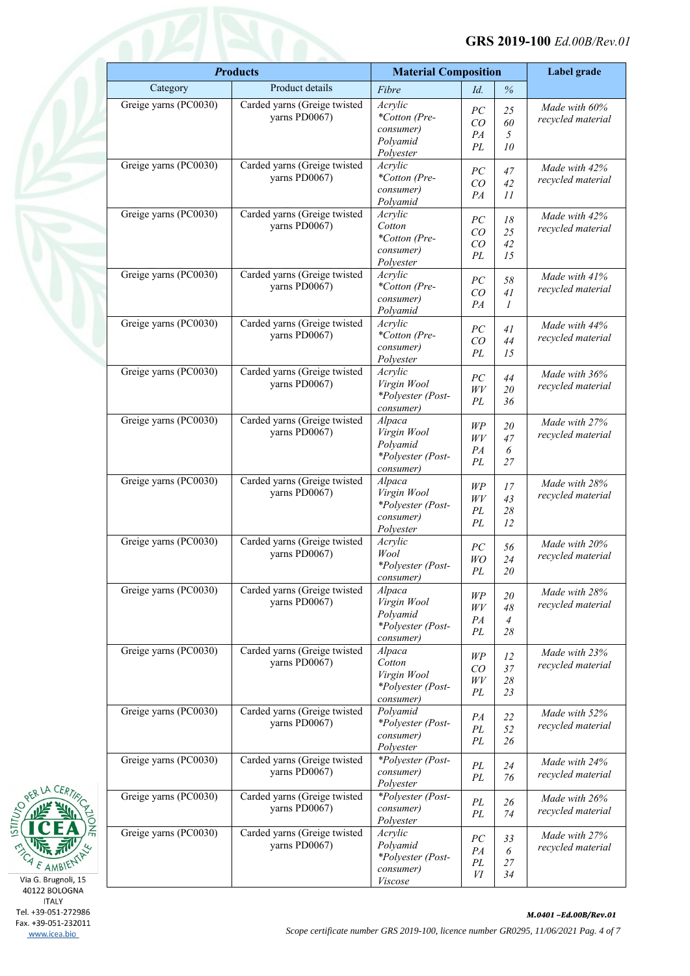|                       | <b>Products</b>                               | <b>Material Composition</b>    |             | Label grade    |                   |
|-----------------------|-----------------------------------------------|--------------------------------|-------------|----------------|-------------------|
| Category              | Product details                               | Fibre                          | Id.         | $\%$           |                   |
| Greige yarns (PC0030) | Carded yarns (Greige twisted                  | Acrylic                        | PC          | 25             | Made with 60%     |
|                       | yarns PD0067)                                 | *Cotton (Pre-                  | CO          | 60             | recycled material |
|                       |                                               | consumer)                      | PA          | 5              |                   |
|                       |                                               | Polyamid                       | PL          | 10             |                   |
|                       |                                               | Polyester                      |             |                |                   |
| Greige yarns (PC0030) | Carded yarns (Greige twisted<br>yarns PD0067) | Acrylic<br>*Cotton (Pre-       | ${\cal PC}$ | 47             | Made with 42%     |
|                       |                                               | consumer)                      | CO          | 42             | recycled material |
|                       |                                               | Polyamid                       | PA          | 11             |                   |
| Greige yarns (PC0030) | Carded yarns (Greige twisted                  | Acrylic                        |             |                | Made with 42%     |
|                       | yarns PD0067)                                 | Cotton                         | PC          | 18             | recycled material |
|                       |                                               | *Cotton (Pre-                  | CO          | 25             |                   |
|                       |                                               | consumer)                      | CO<br>PL    | 42<br>15       |                   |
|                       |                                               | Polyester                      |             |                |                   |
| Greige yarns (PC0030) | Carded yarns (Greige twisted                  | Acrylic                        | PC          | 58             | Made with 41%     |
|                       | yarns PD0067)                                 | *Cotton (Pre-                  | CO          | 41             | recycled material |
|                       |                                               | consumer)                      | PA          | 1              |                   |
|                       |                                               | Polyamid                       |             |                |                   |
| Greige yarns (PC0030) | Carded yarns (Greige twisted                  | Acrylic                        | PC          | 41             | Made with 44%     |
|                       | yarns PD0067)                                 | *Cotton (Pre-<br>consumer)     | CO          | 44             | recycled material |
|                       |                                               | Polyester                      | PL          | 15             |                   |
| Greige yarns (PC0030) | Carded yarns (Greige twisted                  | Acrylic                        |             |                |                   |
|                       | yarns PD0067)                                 | Virgin Wool                    | PC          | 44             | Made with 36%     |
|                       |                                               | *Polyester (Post-              | WV          | 20             | recycled material |
|                       |                                               | consumer)                      | PL          | 36             |                   |
| Greige yarns (PC0030) | Carded yarns (Greige twisted                  | Alpaca                         | WP          |                | Made with 27%     |
|                       | yarns PD0067)                                 | Virgin Wool                    | $W\!V$      | 20<br>47       | recycled material |
|                       |                                               | Polyamid                       | PA          | 6              |                   |
|                       |                                               | *Polyester (Post-              | PL          | 27             |                   |
|                       |                                               | consumer)                      |             |                |                   |
| Greige yarns (PC0030) | Carded yarns (Greige twisted                  | Alpaca                         | WP          | 17             | Made with 28%     |
|                       | yarns PD0067)                                 | Virgin Wool                    | $W\!V$      | 43             | recycled material |
|                       |                                               | *Polyester (Post-<br>consumer) | PL          | 28             |                   |
|                       |                                               | Polyester                      | PL          | 12             |                   |
| Greige yarns (PC0030) | Carded yarns (Greige twisted                  | Acrylic                        |             |                | Made with 20%     |
|                       | yarns PD0067)                                 | Wool                           | ${\cal PC}$ | 56             | recycled material |
|                       |                                               | *Polyester (Post-              | WO          | 24             |                   |
|                       |                                               | consumer)                      | PL          | 20             |                   |
| Greige yarns (PC0030) | Carded yarns (Greige twisted                  | Alpaca                         | WP          | 20             | Made with 28%     |
|                       | yarns PD0067)                                 | Virgin Wool                    | $W\!V$      | 48             | recycled material |
|                       |                                               | Polyamid                       | PA          | $\overline{4}$ |                   |
|                       |                                               | *Polyester (Post-              | PL          | 28             |                   |
|                       |                                               | consumer)                      |             |                |                   |
| Greige yarns (PC0030) | Carded yarns (Greige twisted<br>yarns PD0067) | Alpaca<br>Cotton               | $W\!P$      | 12             | Made with 23%     |
|                       |                                               | Virgin Wool                    | CO          | 37             | recycled material |
|                       |                                               | *Polyester (Post-              | $W\!V$      | $28\,$         |                   |
|                       |                                               | consumer)                      | PL          | 23             |                   |
| Greige yarns (PC0030) | Carded yarns (Greige twisted                  | Polyamid                       |             |                | Made with 52%     |
|                       | yarns PD0067)                                 | *Polyester (Post-              | PA          | 22             | recycled material |
|                       |                                               | consumer)                      | $\cal{P}L$  | 52             |                   |
|                       |                                               | Polyester                      | PL          | 26             |                   |
| Greige yarns (PC0030) | Carded yarns (Greige twisted                  | *Polyester (Post-              | PL          | $24\,$         | Made with 24%     |
|                       | yarns PD0067)                                 | consumer)                      | PL          | 76             | recycled material |
|                       |                                               | Polyester                      |             |                |                   |
|                       |                                               | *Polyester (Post-              | PL          | 26             | Made with 26%     |
| Greige yarns (PC0030) | Carded yarns (Greige twisted                  |                                |             |                |                   |
|                       | yarns PD0067)                                 | consumer)                      | PL          | 74             | recycled material |
|                       |                                               | Polyester                      |             |                |                   |
| Greige yarns (PC0030) | Carded yarns (Greige twisted                  | Acrylic                        | ${\cal PC}$ | 33             | Made with 27%     |
|                       | yarns PD0067)                                 | Polyamid                       | PA          | 6              | recycled material |
|                       |                                               | *Polyester (Post-<br>consumer) | PL<br>И     | $27\,$<br>34   |                   |



**ITALY** Tel. +39-051-272986 Fax. +39-051-232011 www.icea.bio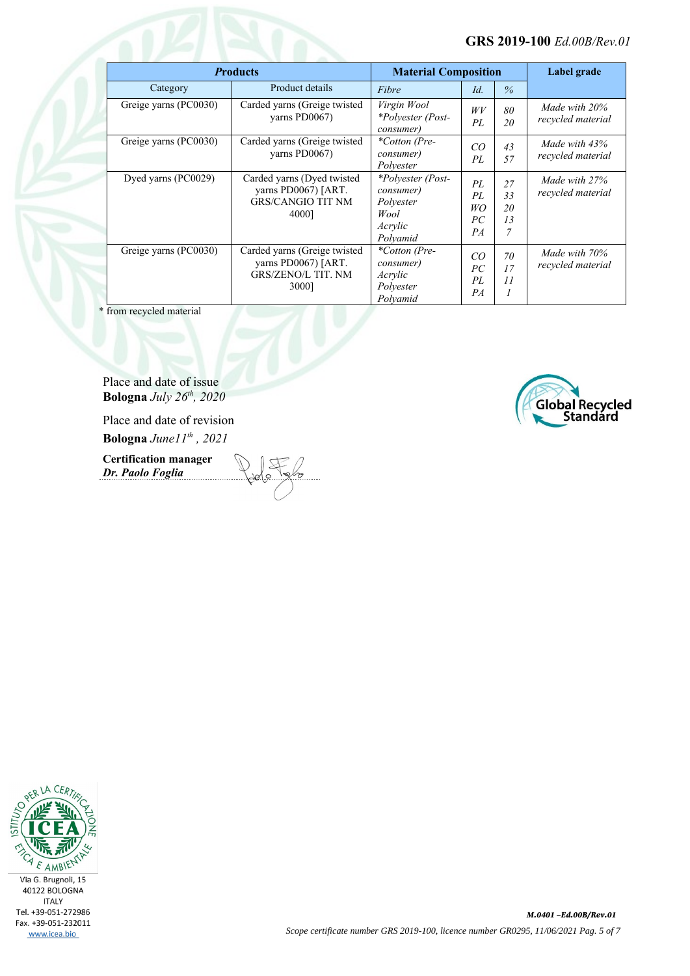| <b>Products</b>       |                                                                                           | <b>Material Composition</b>                                                |                            |                                        | Label grade                          |
|-----------------------|-------------------------------------------------------------------------------------------|----------------------------------------------------------------------------|----------------------------|----------------------------------------|--------------------------------------|
| Category              | Product details                                                                           | Fibre                                                                      | Id.                        | $\%$                                   |                                      |
| Greige yarns (PC0030) | Carded yarns (Greige twisted<br>varns PD0067)                                             | Virgin Wool<br>*Polyester (Post-<br>consumer)                              | WV<br>PL                   | 80<br>20                               | Made with 20%<br>recycled material   |
| Greige yarns (PC0030) | Carded yarns (Greige twisted<br>varns PD0067)                                             | <i>*Cotton (Pre-</i><br>consumer)<br>Polvester                             | CO<br>PL                   | 43<br>57                               | Made with $43%$<br>recycled material |
| Dyed yarns (PC0029)   | Carded yarns (Dyed twisted<br>yarns PD0067) [ART.<br><b>GRS/CANGIO TIT NM</b><br>4000]    | *Polyester (Post-<br>consumer)<br>Polyester<br>Wool<br>Acrylic<br>Polyamid | PL<br>PL<br>WO<br>PC<br>PA | 27<br>33<br>20<br>13<br>$\overline{7}$ | Made with 27%<br>recycled material   |
| Greige yarns (PC0030) | Carded yarns (Greige twisted<br>yarns PD0067) [ART.<br><b>GRS/ZENO/L TIT. NM</b><br>3000] | <i>*Cotton (Pre-</i><br>consumer)<br>Acrylic<br>Polvester<br>Polvamid      | CO<br>PC<br>PL<br>PA       | 70<br>17<br>11<br>1                    | Made with 70%<br>recycled material   |

\* from recycled material

Place and date of issue **Bologna** *July 26th, 2020*

Place and date of revision **Bologna** *June11th , 2021*

**Certification manager** *Dr. Paolo Foglia*



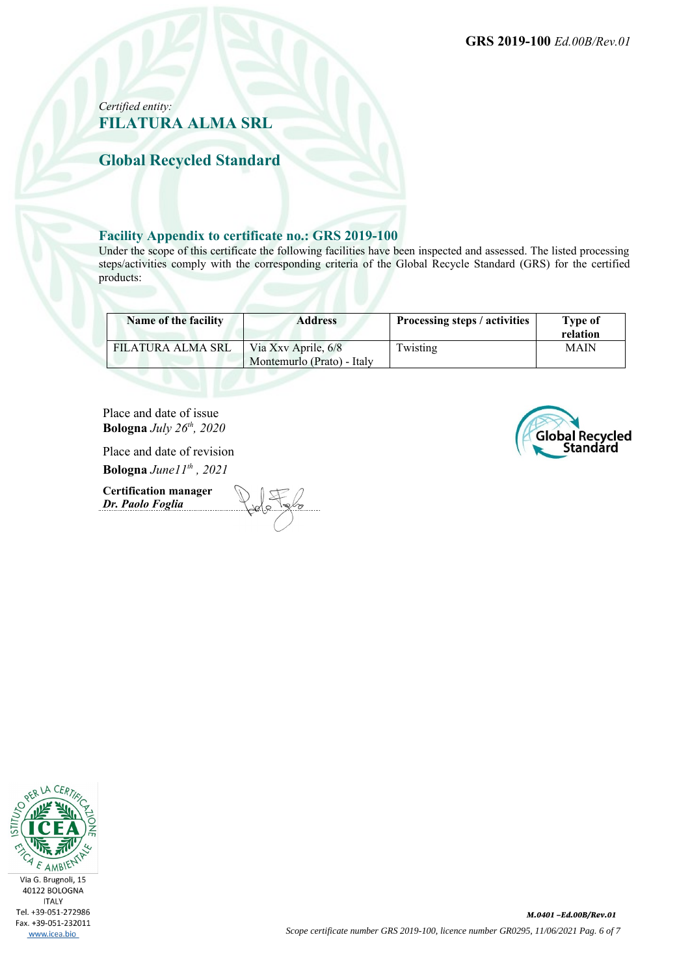**GRS 2019-100** *Ed.00B/Rev.01*

### *Certified entity:* **FILATURA ALMA SRL**

**Global Recycled Standard**

#### **Facility Appendix to certificate no.: GRS 2019-100**

Under the scope of this certificate the following facilities have been inspected and assessed. The listed processing steps/activities comply with the corresponding criteria of the Global Recycle Standard (GRS) for the certified products:

| Name of the facility | <b>Address</b>                                    | Processing steps / activities | Type of<br>relation |
|----------------------|---------------------------------------------------|-------------------------------|---------------------|
| FILATURA ALMA SRL    | Via Xxv Aprile, 6/8<br>Montemurlo (Prato) - Italy | Twisting                      | <b>MAIN</b>         |

Place and date of issue **Bologna** *July 26th, 2020*

Place and date of revision

**Bologna** *June11th , 2021*

**Certification manager** *Dr. Paolo Foglia*